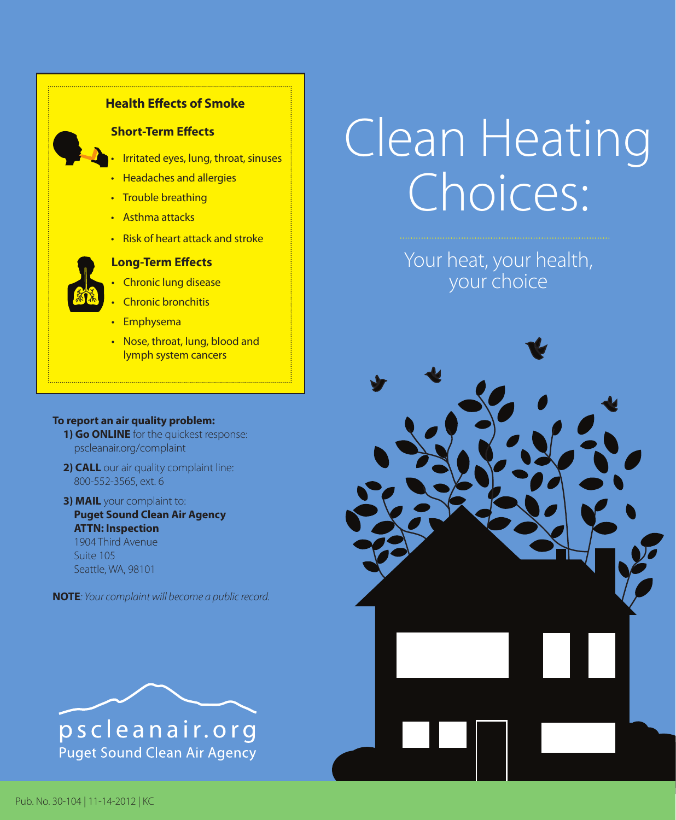

## **To report an air quality problem:**

- **1) Go ONLINE** for the quickest response: pscleanair.org/complaint
- **2) CALL** our air quality complaint line: 800-552-3565, ext. 6
- **3) MAIL** your complaint to: **Puget Sound Clean Air Agency ATTN: Inspection** 1904 Third Avenue Suite 105 Seattle, WA, 98101

**NOTE***: Your complaint will become a public record.* 



## Clean Heating Choices:

Your heat, your health, your choice